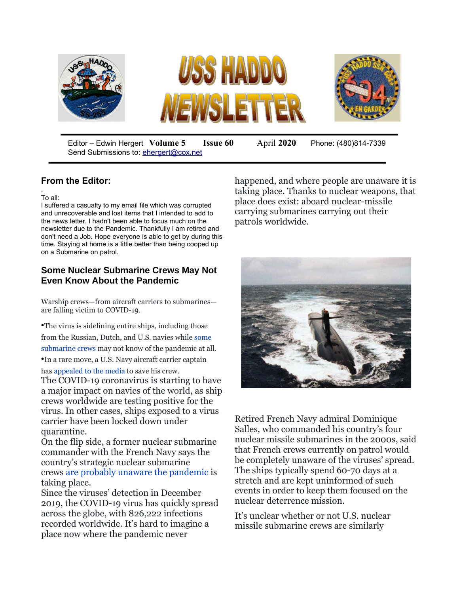

Editor – Edwin Hergert **Volume 5 Issue 60** April **2020** Phone: (480)814-7339 Send Submissions to: [ehergert@cox.net](mailto:ehergert@cox.net)

## **From the Editor:**

. To all:

I suffered a casualty to my email file which was corrupted and unrecoverable and lost items that I intended to add to the news letter. I hadn't been able to focus much on the newsletter due to the Pandemic. Thankfully I am retired and don't need a Job. Hope everyone is able to get by during this time. Staying at home is a little better than being cooped up on a Submarine on patrol.

## **Some Nuclear Submarine Crews May Not Even Know About the Pandemic**

Warship crews—from aircraft carriers to submarines are falling victim to COVID-19.

•The virus is sidelining entire ships, including those from the Russian, Dutch, and U.S. navies while [some](https://www.latimes.com/world-nation/story/2020-03-30/blissful-ignorance-submariners-likely-unaware-of-pandemic)  [submarine crews](https://www.latimes.com/world-nation/story/2020-03-30/blissful-ignorance-submariners-likely-unaware-of-pandemic) may not know of the pandemic at all.

•In a rare move, a U.S. Navy aircraft carrier captain has [appealed to the media](https://www.sfchronicle.com/bayarea/article/Exclusive-Captain-of-aircraft-carrier-with-15167883.php#) to save his crew.

The COVID-19 coronavirus is starting to have a major impact on navies of the world, as ship crews worldwide are testing positive for the virus. In other cases, ships exposed to a virus carrier have been locked down under quarantine.

On the flip side, a former nuclear submarine commander with the French Navy says the country's strategic nuclear submarine crews [are probably unaware the pandemic](https://www.latimes.com/world-nation/story/2020-03-30/blissful-ignorance-submariners-likely-unaware-of-pandemic) is taking place.

Since the viruses' detection in December 2019, the COVID-19 virus has quickly spread across the globe, with 826,222 infections recorded worldwide. It's hard to imagine a place now where the pandemic never

happened, and where people are unaware it is taking place. Thanks to nuclear weapons, that place does exist: aboard nuclear-missile carrying submarines carrying out their patrols worldwide.



Retired French Navy admiral Dominique Salles, who commanded his country's four nuclear missile submarines in the 2000s, said that French crews currently on patrol would be completely unaware of the viruses' spread. The ships typically spend 60-70 days at a stretch and are kept uninformed of such events in order to keep them focused on the nuclear deterrence mission.

It's unclear whether or not U.S. nuclear missile submarine crews are similarly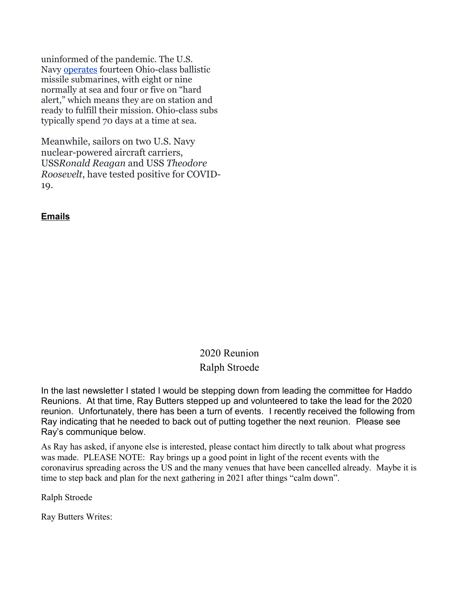uninformed of the pandemic. The U.S. Navy [operates](https://fas.org/blogs/security/2018/05/ssbnpatrols1960-2017/) fourteen Ohio-class ballistic missile submarines, with eight or nine normally at sea and four or five on "hard alert," which means they are on station and ready to fulfill their mission. Ohio-class subs typically spend 70 days at a time at sea.

Meanwhile, sailors on two U.S. Navy nuclear-powered aircraft carriers, USS*Ronald Reagan* and USS *Theodore Roosevelt*, have tested positive for COVID-19.

## **Emails**

## 2020 Reunion Ralph Stroede

In the last newsletter I stated I would be stepping down from leading the committee for Haddo Reunions. At that time, Ray Butters stepped up and volunteered to take the lead for the 2020 reunion. Unfortunately, there has been a turn of events. I recently received the following from Ray indicating that he needed to back out of putting together the next reunion. Please see Ray's communique below.

As Ray has asked, if anyone else is interested, please contact him directly to talk about what progress was made. PLEASE NOTE: Ray brings up a good point in light of the recent events with the coronavirus spreading across the US and the many venues that have been cancelled already. Maybe it is time to step back and plan for the next gathering in 2021 after things "calm down".

Ralph Stroede

Ray Butters Writes: